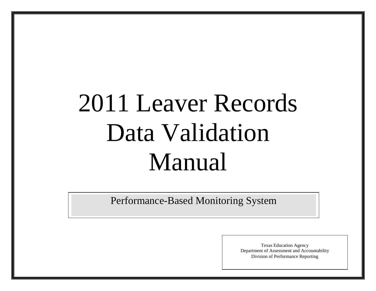# 2011 Leaver Records Data Validation Manual

Performance-Based Monitoring System

Texas Education Agency Department of Assessment and Accountability Division of Performance Reporting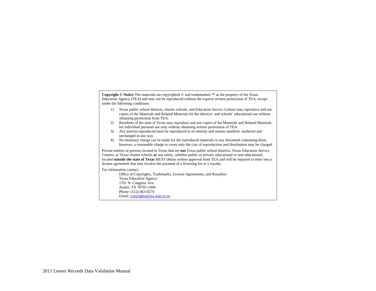**Copyright © Notice** The materials are copyrighted © and trademarked ™ as the property of the Texas Education Agency (TEA) and may not be reproduced without the express written permission of TEA, except under the following conditions:

- 1) Texas public school districts, charter schools, and Education Service Centers may reproduce and use copies of the Materials and Related Materials for the districts' and schools' educational use without obtaining permission from TEA.
- 2) Residents of the state of Texas may reproduce and use copies of the Materials and Related Materials for individual personal use only without obtaining written permission of TEA.
- 3) Any portion reproduced must be reproduced in its entirety and remain unedited, unaltered and unchanged in any way.
- 4) No monetary charge can be made for the reproduced materials or any document containing them; however, a reasonable charge to cover only the cost of reproduction and distribution may be charged.

Private entities or persons located in Texas that are **not** Texas public school districts, Texas Education Service Centers, or Texas charter schools **or** any entity, whether public or private, educational or non-educational, located **outside the state of Texas** *MUST* obtain written approval from TEA and will be required to enter into a license agreement that may involve the payment of a licensing fee or a royalty.

For information contact:

Office of Copyrights, Trademarks, License Agreements, and Royalties Texas Education Agency 1701 N. Congress Ave. Austin, TX 78701-1494 Phone: (512) 463-9270 Email[: copyrights@tea.state.tx.us](mailto:copyrights@tea.state.tx.us)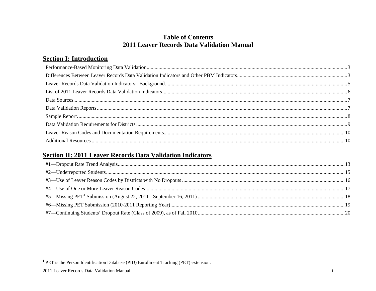### <span id="page-2-0"></span>**Table of Contents** 2011 Leaver Records Data Validation Manual

### **Section I: Introduction**

### **Section II: 2011 Leaver Records Data Validation Indicators**

<sup>&</sup>lt;sup>1</sup> PET is the Person Identification Database (PID) Enrollment Tracking (PET) extension.

<sup>2011</sup> Leaver Records Data Validation Manual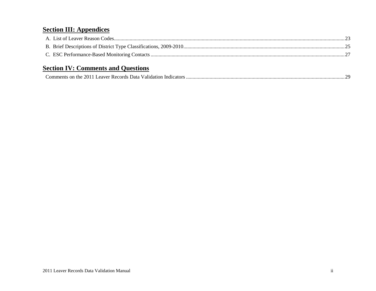## **Section III: Appendices**

## **Section IV: Comments and Questions**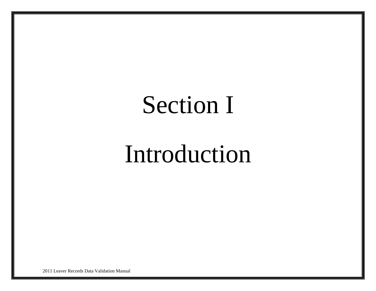## Section I

## Introduction

2011 Leaver Records Data Validation Manual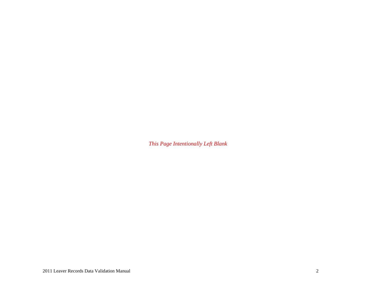*This Page Intentionally Left Blank*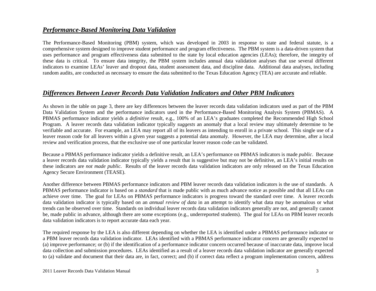### *Performance-Based Monitoring Data Validation*

The Performance-Based Monitoring (PBM) system, which was developed in 2003 in response to state and federal statute, is a comprehensive system designed to improve student performance and program effectiveness. The PBM system is a data-driven system that uses performance and program effectiveness data submitted to the state by local education agencies (LEAs); therefore, the integrity of these data is critical. To ensure data integrity, the PBM system includes annual data validation analyses that use several different indicators to examine LEAs' leaver and dropout data, student assessment data, and discipline data. Additional data analyses, including random audits, are conducted as necessary to ensure the data submitted to the Texas Education Agency (TEA) are accurate and reliable.

### *Differences Between Leaver Records Data Validation Indicators and Other PBM Indicators*

As shown in the table on page 3, there are key differences between the leaver records data validation indicators used as part of the PBM Data Validation System and the performance indicators used in the Performance-Based Monitoring Analysis System (PBMAS). A PBMAS performance indicator yields a *definitive* result, e.g., 100% of an LEA's graduates completed the Recommended High School Program. A leaver records data validation indicator typically *suggests* an anomaly that a local review may ultimately determine to be verifiable and accurate. For example, an LEA may report all of its leavers as intending to enroll in a private school. This single use of a leaver reason code for all leavers within a given year suggests a potential data anomaly. However, the LEA may determine, after a local review and verification process, that the exclusive use of one particular leaver reason code can be validated.

Because a PBMAS performance indicator yields a definitive result, an LEA's performance on PBMAS indicators is made *public*. Because a leaver records data validation indicator typically yields a result that is suggestive but may not be definitive, an LEA's initial results on these indicators are *not made public*. Results of the leaver records data validation indicators are only released on the Texas Education Agency Secure Environment (TEASE).

Another difference between PBMAS performance indicators and PBM leaver records data validation indicators is the use of standards. A PBMAS performance indicator is based on a *standard* that is made public with as much advance notice as possible and that all LEAs can achieve over time. The goal for LEAs on PBMAS performance indicators is progress toward the standard over time. A leaver records data validation indicator is typically based on an *annual review of data* in an attempt to identify what data may be anomalous or what trends can be observed over time. Standards on individual leaver records data validation indicators generally are not, and generally cannot be, made public in advance, although there are some exceptions (e.g., underreported students). The goal for LEAs on PBM leaver records data validation indicators is to report accurate data each year.

The required response by the LEA is also different depending on whether the LEA is identified under a PBMAS performance indicator or a PBM leaver records data validation indicator. LEAs identified with a PBMAS performance indicator concern are generally expected to (a) improve performance; or (b) if the identification of a performance indicator concern occurred because of inaccurate data, improve local data collection and submission procedures. LEAs identified as a result of a leaver records data validation indicator are generally expected to (a) validate and document that their data are, in fact, correct; and (b) if correct data reflect a program implementation concern, address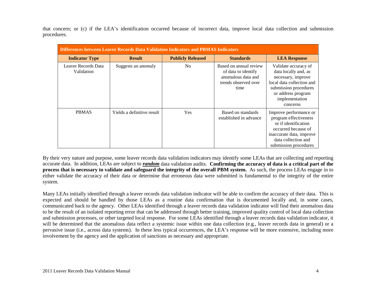that concern; or (c) if the LEA's identification occurred because of incorrect data, improve local data collection and submission procedures.

| Differences between Leaver Records Data Validation Indicators and PBMAS Indicators |                            |                          |                                                                                                     |                                                                                                                                                                              |
|------------------------------------------------------------------------------------|----------------------------|--------------------------|-----------------------------------------------------------------------------------------------------|------------------------------------------------------------------------------------------------------------------------------------------------------------------------------|
| <b>Indicator Type</b>                                                              | <b>Result</b>              | <b>Publicly Released</b> | <b>Standards</b>                                                                                    | <b>LEA Response</b>                                                                                                                                                          |
| Leaver Records Data<br>Validation                                                  | Suggests an anomaly        | No                       | Based on annual review<br>of data to identify<br>anomalous data and<br>trends observed over<br>time | Validate accuracy of<br>data locally and, as<br>necessary, improve<br>local data collection and<br>submission procedures<br>or address program<br>implementation<br>concerns |
| <b>PBMAS</b>                                                                       | Yields a definitive result | Yes                      | Based on standards<br>established in advance                                                        | Improve performance or<br>program effectiveness<br>or if identification<br>occurred because of<br>inaccurate data, improve<br>data collection and<br>submission procedures   |

By their very nature and purpose, some leaver records data validation indicators may identify some LEAs that are collecting and reporting accurate data. In addition, LEAs are subject to *random* data validation audits. **Confirming the accuracy of data is a critical part of the process that is necessary to validate and safeguard the integrity of the overall PBM system.** As such, the process LEAs engage in to either validate the accuracy of their data or determine that erroneous data were submitted is fundamental to the integrity of the entire system.

Many LEAs initially identified through a leaver records data validation indicator will be able to confirm the accuracy of their data. This is expected and should be handled by those LEAs as a routine data confirmation that is documented locally and, in some cases, communicated back to the agency. Other LEAs identified through a leaver records data validation indicator will find their anomalous data to be the result of an isolated reporting error that can be addressed through better training, improved quality control of local data collection and submission processes, or other targeted local response. For some LEAs identified through a leaver records data validation indicator, it will be determined that the anomalous data reflect a systemic issue within one data collection (e.g., leaver records data in general) or a pervasive issue (i.e., across data systems). In these less typical occurrences, the LEA's response will be more extensive, including more involvement by the agency and the application of sanctions as necessary and appropriate.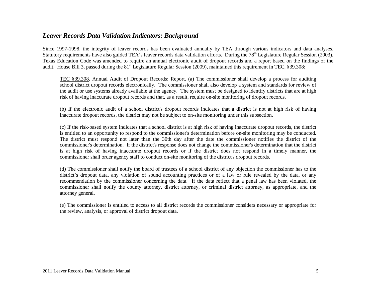### *Leaver Records Data Validation Indicators: Background*

Since 1997-1998, the integrity of leaver records has been evaluated annually by TEA through various indicators and data analyses. Statutory requirements have also guided TEA's leaver records data validation efforts. During the 78<sup>th</sup> Legislature Regular Session (2003), Texas Education Code was amended to require an annual electronic audit of dropout records and a report based on the findings of the audit. House Bill 3, passed during the 81<sup>st</sup> Legislature Regular Session (2009), maintained this requirement in TEC, §39.308:

TEC §39.308. Annual Audit of Dropout Records; Report. (a) The commissioner shall develop a process for auditing school district dropout records electronically. The commissioner shall also develop a system and standards for review of the audit or use systems already available at the agency. The system must be designed to identify districts that are at high risk of having inaccurate dropout records and that, as a result, require on-site monitoring of dropout records.

(b) If the electronic audit of a school district's dropout records indicates that a district is not at high risk of having inaccurate dropout records, the district may not be subject to on-site monitoring under this subsection.

(c) If the risk-based system indicates that a school district is at high risk of having inaccurate dropout records, the district is entitled to an opportunity to respond to the commissioner's determination before on-site monitoring may be conducted. The district must respond not later than the 30th day after the date the commissioner notifies the district of the commissioner's determination. If the district's response does not change the commissioner's determination that the district is at high risk of having inaccurate dropout records or if the district does not respond in a timely manner, the commissioner shall order agency staff to conduct on-site monitoring of the district's dropout records.

(d) The commissioner shall notify the board of trustees of a school district of any objection the commissioner has to the district's dropout data, any violation of sound accounting practices or of a law or rule revealed by the data, or any recommendation by the commissioner concerning the data. If the data reflect that a penal law has been violated, the commissioner shall notify the county attorney, district attorney, or criminal district attorney, as appropriate, and the attorney general.

(e) The commissioner is entitled to access to all district records the commissioner considers necessary or appropriate for the review, analysis, or approval of district dropout data.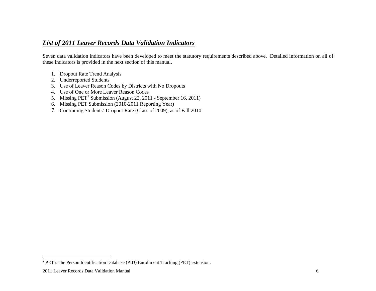### <span id="page-9-0"></span>*List of 2011 Leaver Records Data Validation Indicators*

Seven data validation indicators have been developed to meet the statutory requirements described above. Detailed information on all of these indicators is provided in the next section of this manual.

- 1. Dropout Rate Trend Analysis
- 2. Underreported Students
- 3. Use of Leaver Reason Codes by Districts with No Dropouts
- 4. Use of One or More Leaver Reason Codes
- 5. Missing  $PET^2$  $PET^2$  Submission (August 22, 2011 September 16, 2011)
- 6. Missing PET Submission (2010-2011 Reporting Year)
- 7. Continuing Students' Dropout Rate (Class of 2009), as of Fall 2010

<sup>&</sup>lt;sup>2</sup> PET is the Person Identification Database (PID) Enrollment Tracking (PET) extension.

<sup>2011</sup> Leaver Records Data Validation Manual 6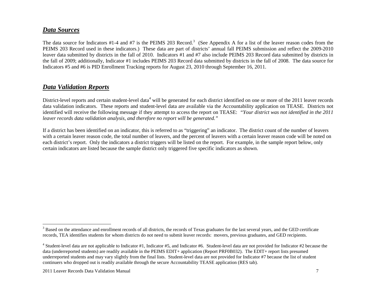### <span id="page-10-1"></span><span id="page-10-0"></span>*Data Sources*

The data source for Indicators #1-4 and #7 is the PEIMS 20[3](#page-10-0) Record.<sup>3</sup> (See Appendix A for a list of the leaver reason codes from the PEIMS 203 Record used in these indicators.) These data are part of districts' annual fall PEIMS submission and reflect the 2009-2010 leaver data submitted by districts in the fall of 2010. Indicators #1 and #7 also include PEIMS 203 Record data submitted by districts in the fall of 2009; additionally, Indicator #1 includes PEIMS 203 Record data submitted by districts in the fall of 2008. The data source for Indicators #5 and #6 is PID Enrollment Tracking reports for August 23, 2010 through September 16, 2011.

### *Data Validation Reports*

District-level reports and certain student-level data<sup>[4](#page-10-1)</sup> will be generated for each district identified on one or more of the 2011 leaver records data validation indicators. These reports and student-level data are available via the Accountability application on TEASE. Districts not identified will receive the following message if they attempt to access the report on TEASE: *"Your district was not identified in the 2011 leaver records data validation analysis, and therefore no report will be generated."*

If a district has been identified on an indicator, this is referred to as "triggering" an indicator. The district count of the number of leavers with a certain leaver reason code, the total number of leavers, and the percent of leavers with a certain leaver reason code will be noted on each district's report. Only the indicators a district triggers will be listed on the report. For example, in the sample report below, only certain indicators are listed because the sample district only triggered five specific indicators as shown.

<sup>&</sup>lt;sup>3</sup> Based on the attendance and enrollment records of all districts, the records of Texas graduates for the last several years, and the GED certificate records, TEA identifies students for whom districts do not need to submit leaver records: movers, previous graduates, and GED recipients.

<sup>4</sup> Student-level data are not applicable to Indicator #1, Indicator #5, and Indicator #6. Student-level data are not provided for Indicator #2 because the data (underreported students) are readily available in the PEIMS EDIT+ application (Report PRF0B032). The EDIT+ report lists presumed underreported students and may vary slightly from the final lists. Student-level data are not provided for Indicator #7 because the list of student continuers who dropped out is readily available through the secure Accountability TEASE application (RES tab).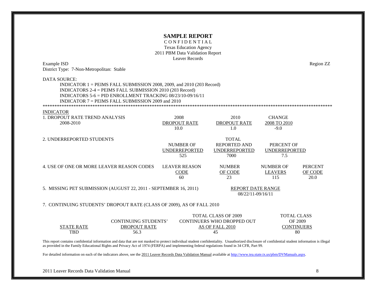#### **SAMPLE REPORT**

C O N F I D E N T I A L Texas Education Agency 2011 PBM Data Validation Report Leaver Records

Example ISD Region ZZ District Type: 7-Non-Metropolitan: Stable

#### DATA SOURCE:

INDICATOR 1 = PEIMS FALL SUBMISSION 2008, 2009, and 2010 (203 Record) INDICATORS 2-4 = PEIMS FALL SUBMISSION 2010 (203 Record) INDICATORS 5-6 = PID ENROLLMENT TRACKING 08/23/10-09/16/11 INDICATOR 7 = PEIMS FALL SUBMISSION 2009 and 2010 \*\*\*\*\*\*\*\*\*\*\*\*\*\*\*\*\*\*\*\*\*\*\*\*\*\*\*\*\*\*\*\*\*\*\*\*\*\*\*\*\*\*\*\*\*\*\*\*\*\*\*\*\*\*\*\*\*\*\*\*\*\*\*\*\*\*\*\*\*\*\*\*\*\*\*\*\*\*\*\*\*\*\*\*\*\*\*\*\*\*\*\*\*\*\*\*\*\*\*\*\*\*\*\*\*\*\*\*\*\*\*\*\*\*\*\*\*\*\*\*\*\*

#### INDICATOR

| 1. DROPOUT RATE TREND ANALYSIS                                        |                             | 2008                 | 2010                       | <b>CHANGE</b>      |                |
|-----------------------------------------------------------------------|-----------------------------|----------------------|----------------------------|--------------------|----------------|
| 2008-2010                                                             |                             | <b>DROPOUT RATE</b>  | <b>DROPOUT RATE</b>        | 2008 TO 2010       |                |
|                                                                       |                             | 10.0                 | 1.0                        | $-9.0$             |                |
|                                                                       |                             |                      |                            |                    |                |
| 2. UNDERREPORTED STUDENTS                                             |                             |                      | <b>TOTAL</b>               |                    |                |
|                                                                       |                             | <b>NUMBER OF</b>     | <b>REPORTED AND</b>        | PERCENT OF         |                |
|                                                                       |                             | <b>UNDERREPORTED</b> | UNDERREPORTED              | UNDERREPORTED      |                |
|                                                                       |                             | 525                  | 7000                       | 7.5                |                |
|                                                                       |                             |                      |                            |                    |                |
| 4. USE OF ONE OR MORE LEAVER REASON CODES                             |                             | <b>LEAVER REASON</b> | <b>NUMBER</b>              | <b>NUMBER OF</b>   | <b>PERCENT</b> |
|                                                                       |                             | <b>CODE</b>          | OF CODE                    | <b>LEAVERS</b>     | OF CODE        |
|                                                                       |                             | 60                   | 23                         | 115                | 20.0           |
|                                                                       |                             |                      |                            |                    |                |
| 5. MISSING PET SUBMISSION (AUGUST 22, 2011 - SEPTEMBER 16, 2011)      |                             |                      | REPORT DATE RANGE          |                    |                |
|                                                                       |                             |                      | 08/22/11-09/16/11          |                    |                |
|                                                                       |                             |                      |                            |                    |                |
| 7. CONTINUING STUDENTS' DROPOUT RATE (CLASS OF 2009), AS OF FALL 2010 |                             |                      |                            |                    |                |
|                                                                       |                             |                      |                            |                    |                |
|                                                                       |                             |                      | <b>TOTAL CLASS OF 2009</b> | <b>TOTAL CLASS</b> |                |
|                                                                       | <b>CONTINUING STUDENTS'</b> |                      | CONTINUERS WHO DROPPED OUT | OF 2009            |                |
| <b>STATE RATE</b>                                                     | DROPOUT RATE                |                      | AS OF FALL 2010            | <b>CONTINUERS</b>  |                |
| <b>TBD</b>                                                            | 56.3                        |                      | 45                         | 80                 |                |

This report contains confidential information and data that are not masked to protect individual student confidentiality. Unauthorized disclosure of confidential student information is illegal as provided in the Family Educational Rights and Privacy Act of 1974 (FERPA) and implementing federal regulations found in 34 CFR, Part 99.

For detailed information on each of the indicators above, see the 2011 Leaver Records Data Validation Manual available a[t http://www.tea.state.tx.us/pbm/DVManuals.aspx.](http://www.tea.state.tx.us/pbm/DVManuals.aspx)

2011 Leaver Records Data Validation Manual 8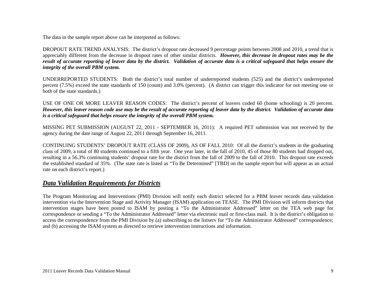The data in the sample report above can be interpreted as follows:

DROPOUT RATE TREND ANALYSIS: The district's dropout rate decreased 9 percentage points between 2008 and 2010, a trend that is appreciably different from the decrease in dropout rates of other similar districts. *However, this decrease in dropout rates may be the result of accurate reporting of leaver data by the district. Validation of accurate data is a critical safeguard that helps ensure the integrity of the overall PBM system.*

UNDERREPORTED STUDENTS: Both the district's total number of underreported students (525) and the district's underreported percent (7.5%) exceed the state standards of 150 (count) and 3.0% (percent). (A district can trigger this indicator for not meeting one or both of the state standards.)

USE OF ONE OR MORE LEAVER REASON CODES: The district's percent of leavers coded 60 (home schooling) is 20 percent. *However, this leaver reason code use may be the result of accurate reporting of leaver data by the district. Validation of accurate data is a critical safeguard that helps ensure the integrity of the overall PBM system.*

MISSING PET SUBMISSION (AUGUST 22, 2011 - SEPTEMBER 16, 2011): A required PET submission was not received by the agency during the date range of August 22, 2011 through September 16, 2011.

CONTINUING STUDENTS' DROPOUT RATE (CLASS OF 2009), AS OF FALL 2010: Of all the district's students in the graduating class of 2009, a total of 80 students continued to a fifth year. One year later, in the fall of 2010, 45 of those 80 students had dropped out, resulting in a 56.3% continuing students' dropout rate for the district from the fall of 2009 to the fall of 2010. This dropout rate exceeds the established standard of 35%. (The state rate is listed as "To Be Determined" [TBD] on the sample report but will appear as an actual rate on each district's report.)

#### *Data Validation Requirements for Districts*

The Program Monitoring and Interventions (PMI) Division will notify each district selected for a PBM leaver records data validation intervention via the Intervention Stage and Activity Manager (ISAM) application on TEASE. The PMI Division will inform districts that intervention stages have been posted to ISAM by posting a "To the Administrator Addressed" letter on the TEA web page for correspondence or sending a "To the Administrator Addressed" letter via electronic mail or first-class mail. It is the district's obligation to access the correspondence from the PMI Division by (a) subscribing to the listserv for "To the Administrator Addressed" correspondence; and (b) accessing the ISAM system as directed to retrieve intervention instructions and information.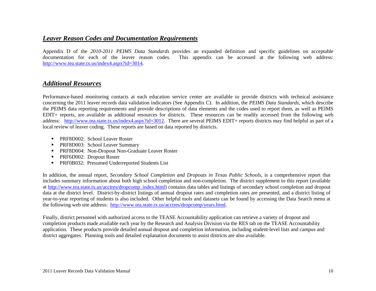#### *Leaver Reason Codes and Documentation Requirements*

Appendix D of the *2010-2011 PEIMS Data Standards* provides an expanded definition and specific guidelines on acceptable documentation for each of the leaver reason codes. This appendix can be accessed at the following web address: [http://www.tea.state.tx.us/index4.aspx?id=3014.](http://www.tea.state.tx.us/index4.aspx?id=3014)

#### *Additional Resources*

Performance-based monitoring contacts at each education service center are available to provide districts with technical assistance concerning the 2011 leaver records data validation indicators (See Appendix C). In addition, the *PEIMS Data Standards*, which describe the PEIMS data reporting requirements and provide descriptions of data elements and the codes used to report them, as well as PEIMS EDIT+ reports, are available as additional resources for districts. These resources can be readily accessed from the following web address: [http://www.tea.state.tx.us/index4.aspx?id=3012.](http://www.tea.state.tx.us/index4.aspx?id=3012) There are several PEIMS EDIT+ reports districts may find helpful as part of a local review of leaver coding. These reports are based on data reported by districts.

- **PRF8D002: School Leaver Roster**
- **PRF8D003: School Leaver Summary**
- **PRF8D004: Non-Dropout Non-Graduate Leaver Roster**
- **PRF6D002: Dropout Roster**
- **PRF0B032: Presumed Underreported Students List**

In addition, the annual report, *Secondary School Completion and Dropouts in Texas Public Schools,* is a comprehensive report that includes summary information about both high school completion and non-completion. The district supplement to this report (available at [http://www.tea.state.tx.us/acctres/dropcomp\\_index.html\)](http://www.tea.state.tx.us/acctres/dropcomp_index.html) contains data tables and listings of secondary school completion and dropout data at the district level. District-by-district listings of annual dropout rates and completion rates are presented, and a district listing of year-to-year reporting of students is also included. Other helpful tools and datasets can be found by accessing the Data Search menu at the following web site address: [http://www.tea.state.tx.us/acctres/dropcomp/years.html.](http://www.tea.state.tx.us/acctres/dropcomp/years.html)

Finally, district personnel with authorized access to the TEASE Accountability application can retrieve a variety of dropout and completion products made available each year by the Research and Analysis Division via the RES tab on the TEASE Accountability application. These products provide detailed annual dropout and completion information, including student-level lists and campus and district aggregates. Planning tools and detailed explanation documents to assist districts are also available.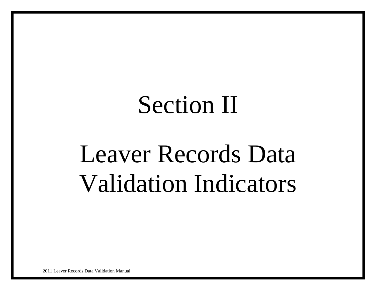## Section II

# Leaver Records Data Validation Indicators

2011 Leaver Records Data Validation Manual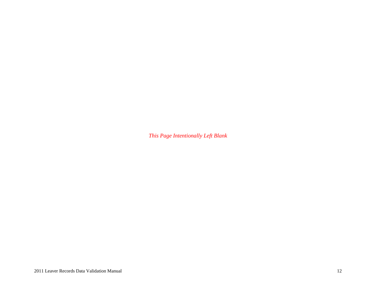*This Page Intentionally Left Blank*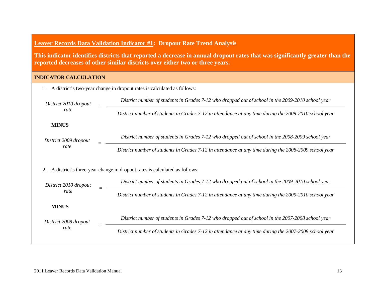### **Leaver Records Data Validation Indicator #1: Dropout Rate Trend Analysis**

**This indicator identifies districts that reported a decrease in annual dropout rates that was significantly greater than the reported decreases of other similar districts over either two or three years.**

#### **INDICATOR CALCULATION**

|                               |                                                                                                       | 1. A district's two-year change in dropout rates is calculated as follows:                            |
|-------------------------------|-------------------------------------------------------------------------------------------------------|-------------------------------------------------------------------------------------------------------|
| District 2010 dropout<br>rate |                                                                                                       | District number of students in Grades 7-12 who dropped out of school in the 2009-2010 school year     |
| <b>MINUS</b>                  |                                                                                                       | District number of students in Grades 7-12 in attendance at any time during the 2009-2010 school year |
| District 2009 dropout         |                                                                                                       | District number of students in Grades 7-12 who dropped out of school in the 2008-2009 school year     |
| rate                          |                                                                                                       | District number of students in Grades 7-12 in attendance at any time during the 2008-2009 school year |
|                               |                                                                                                       | A district's three-year change in dropout rates is calculated as follows:                             |
| District 2010 dropout<br>rate |                                                                                                       | District number of students in Grades 7-12 who dropped out of school in the 2009-2010 school year     |
|                               | District number of students in Grades 7-12 in attendance at any time during the 2009-2010 school year |                                                                                                       |
| <b>MINUS</b>                  |                                                                                                       |                                                                                                       |
| District 2008 dropout<br>rate |                                                                                                       | District number of students in Grades 7-12 who dropped out of school in the 2007-2008 school year     |
|                               |                                                                                                       | District number of students in Grades 7-12 in attendance at any time during the 2007-2008 school year |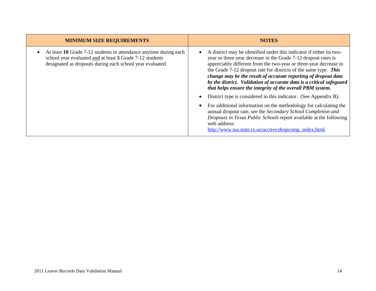| <b>MINIMUM SIZE REQUIREMENTS</b>                                                                                                                                                           | <b>NOTES</b>                                                                                                                                                                                                                                                                                                                                                                                                                                                                            |
|--------------------------------------------------------------------------------------------------------------------------------------------------------------------------------------------|-----------------------------------------------------------------------------------------------------------------------------------------------------------------------------------------------------------------------------------------------------------------------------------------------------------------------------------------------------------------------------------------------------------------------------------------------------------------------------------------|
| At least 10 Grade 7-12 students in attendance anytime during each<br>school year evaluated and at least 5 Grade 7-12 students<br>designated as dropouts during each school year evaluated. | A district may be identified under this indicator if either its two-<br>year or three-year decrease in the Grade 7-12 dropout rates is<br>appreciably different from the two-year or three-year decrease in<br>the Grade 7-12 dropout rate for districts of the same type. This<br>change may be the result of accurate reporting of dropout data<br>by the district. Validation of accurate data is a critical safeguard<br>that helps ensure the integrity of the overall PBM system. |
|                                                                                                                                                                                            | District type is considered in this indicator. (See Appendix B).                                                                                                                                                                                                                                                                                                                                                                                                                        |
|                                                                                                                                                                                            | For additional information on the methodology for calculating the<br>annual dropout rate, see the Secondary School Completion and<br>Dropouts in Texas Public Schools report available at the following<br>web address:<br>http://www.tea.state.tx.us/acctres/dropcomp_index.html.                                                                                                                                                                                                      |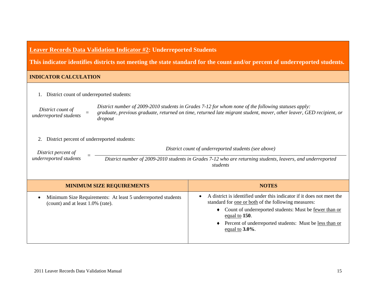#### **Leaver Records Data Validation Indicator #2: Underreported Students**

**This indicator identifies districts not meeting the state standard for the count and/or percent of underreported students.**

#### **INDICATOR CALCULATION**

1. District count of underreported students:

*District count of underreported students* <sup>=</sup> *District number of 2009-2010 students in Grades 7-12 for whom none of the following statuses apply: graduate, previous graduate, returned on time, returned late migrant student, mover, other leaver, GED recipient, or dropout*

2. District percent of underreported students:

| District percent of    | District count of underreported students (see above)                                                                    |
|------------------------|-------------------------------------------------------------------------------------------------------------------------|
| underreported students | District number of 2009-2010 students in Grades 7-12 who are returning students, leavers, and underreported<br>students |

| <b>MINIMUM SIZE REQUIREMENTS</b>                                                                               | <b>NOTES</b>                                                                                                                                                                                                                                                                                                     |
|----------------------------------------------------------------------------------------------------------------|------------------------------------------------------------------------------------------------------------------------------------------------------------------------------------------------------------------------------------------------------------------------------------------------------------------|
| Minimum Size Requirements: At least 5 underreported students<br>$\bullet$<br>(count) and at least 1.0% (rate). | A district is identified under this indicator if it does not meet the<br>standard for <u>one</u> or both of the following measures:<br>Count of underreported students: Must be <u>fewer than or</u><br>equal to $150$ .<br>Percent of underreported students: Must be <u>less than or</u><br>equal to $3.0\%$ . |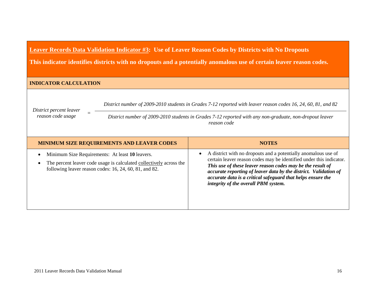**Leaver Records Data Validation Indicator #3: Use of Leaver Reason Codes by Districts with No Dropouts**

**This indicator identifies districts with no dropouts and a potentially anomalous use of certain leaver reason codes.**

#### **INDICATOR CALCULATION**

*District number of 2009-2010 students in Grades 7-12 reported with leaver reason codes 16, 24, 60, 81, and 82*

*District percent leaver reason code usage*  $=$ 

*District number of 2009-2010 students in Grades 7-12 reported with any non-graduate, non-dropout leaver reason code*

| MINIMUM SIZE REQUIREMENTS AND LEAVER CODES                                                                                                                                       | <b>NOTES</b>                                                                                                                                                                                                                                                                                                                                                                   |
|----------------------------------------------------------------------------------------------------------------------------------------------------------------------------------|--------------------------------------------------------------------------------------------------------------------------------------------------------------------------------------------------------------------------------------------------------------------------------------------------------------------------------------------------------------------------------|
| Minimum Size Requirements: At least 10 leavers.<br>The percent leaver code usage is calculated collectively across the<br>following leaver reason codes: 16, 24, 60, 81, and 82. | A district with no dropouts and a potentially anomalous use of<br>certain leaver reason codes may be identified under this indicator.<br>This use of these leaver reason codes may be the result of<br>accurate reporting of leaver data by the district. Validation of<br>accurate data is a critical safeguard that helps ensure the<br>integrity of the overall PBM system. |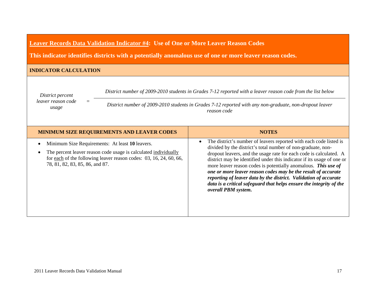#### **Leaver Records Data Validation Indicator #4: Use of One or More Leaver Reason Codes**

**This indicator identifies districts with a potentially anomalous use of one or more leaver reason codes.**

#### **INDICATOR CALCULATION**

=

*District percent leaver reason code usage*

*District number of 2009-2010 students in Grades 7-12 reported with any non-graduate, non-dropout leaver reason code*

*District number of 2009-2010 students in Grades 7-12 reported with a leaver reason code from the list below*

| <b>MINIMUM SIZE REQUIREMENTS AND LEAVER CODES</b>                                                                                                                                                                           | <b>NOTES</b>                                                                                                                                                                                                                                                                                                                                                                                                                                                                                                                                                                            |
|-----------------------------------------------------------------------------------------------------------------------------------------------------------------------------------------------------------------------------|-----------------------------------------------------------------------------------------------------------------------------------------------------------------------------------------------------------------------------------------------------------------------------------------------------------------------------------------------------------------------------------------------------------------------------------------------------------------------------------------------------------------------------------------------------------------------------------------|
| Minimum Size Requirements: At least 10 leavers.<br>The percent leaver reason code usage is calculated individually<br>for each of the following leaver reason codes: 03, 16, 24, 60, 66,<br>78, 81, 82, 83, 85, 86, and 87. | The district's number of leavers reported with each code listed is<br>divided by the district's total number of non-graduate, non-<br>dropout leavers, and the usage rate for each code is calculated. A<br>district may be identified under this indicator if its usage of one or<br>more leaver reason codes is potentially anomalous. This use of<br>one or more leaver reason codes may be the result of accurate<br>reporting of leaver data by the district. Validation of accurate<br>data is a critical safeguard that helps ensure the integrity of the<br>overall PBM system. |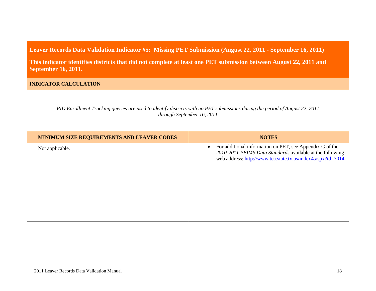**Leaver Records Data Validation Indicator #5: Missing PET Submission (August 22, 2011 - September 16, 2011)** 

**This indicator identifies districts that did not complete at least one PET submission between August 22, 2011 and September 16, 2011.** 

#### **INDICATOR CALCULATION**

*PID Enrollment Tracking queries are used to identify districts with no PET submissions during the period of August 22, 2011 through September 16, 2011.*

| MINIMUM SIZE REQUIREMENTS AND LEAVER CODES | <b>NOTES</b>                                                                                                                                                                          |
|--------------------------------------------|---------------------------------------------------------------------------------------------------------------------------------------------------------------------------------------|
| Not applicable.                            | For additional information on PET, see Appendix G of the<br>2010-2011 PEIMS Data Standards available at the following<br>web address: http://www.tea.state.tx.us/index4.aspx?id=3014. |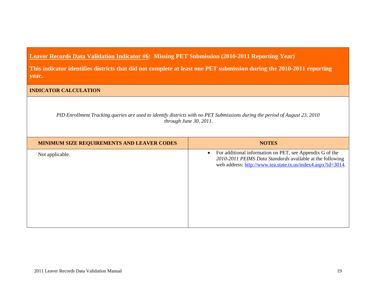**Leaver Records Data Validation Indicator #6: Missing PET Submission (2010-2011 Reporting Year)**

**This indicator identifies districts that did not complete at least one PET submission during the 2010-2011 reporting year.**

#### **INDICATOR CALCULATION**

*PID Enrollment Tracking queries are used to identify districts with no PET Submissions during the period of August 23, 2010 through June 30, 2011.*

| MINIMUM SIZE REQUIREMENTS AND LEAVER CODES | <b>NOTES</b>                                                                                                                                                                          |
|--------------------------------------------|---------------------------------------------------------------------------------------------------------------------------------------------------------------------------------------|
| Not applicable.                            | For additional information on PET, see Appendix G of the<br>2010-2011 PEIMS Data Standards available at the following<br>web address: http://www.tea.state.tx.us/index4.aspx?id=3014. |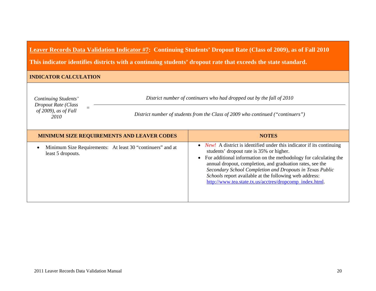**Leaver Records Data Validation Indicator #7: Continuing Students' Dropout Rate (Class of 2009), as of Fall 2010**

**This indicator identifies districts with a continuing students' dropout rate that exceeds the state standard.**

#### **INDICATOR CALCULATION**

| Continuing Students'<br><b>Dropout Rate (Class</b><br>$=$<br>of 2009), as of Fall<br><i>2010</i> | District number of continuers who had dropped out by the fall of 2010<br>District number of students from the Class of 2009 who continued ("continuers") |                                                                                                                                                                                                                                            |  |  |
|--------------------------------------------------------------------------------------------------|----------------------------------------------------------------------------------------------------------------------------------------------------------|--------------------------------------------------------------------------------------------------------------------------------------------------------------------------------------------------------------------------------------------|--|--|
| <b>MINIMUM SIZE REQUIREMENTS AND LEAVER CODES</b><br>least 5 dropouts.                           | Minimum Size Requirements: At least 30 "continuers" and at                                                                                               | <b>NOTES</b><br><i>New!</i> A district is identified under this indicator if its continuing<br>$\bullet$<br>students' dropout rate is 35% or higher.<br>For additional information on the methodology for calculating the<br>$\bullet$     |  |  |
|                                                                                                  |                                                                                                                                                          | annual dropout, completion, and graduation rates, see the<br>Secondary School Completion and Dropouts in Texas Public<br>Schools report available at the following web address:<br>http://www.tea.state.tx.us/acctres/dropcomp_index.html. |  |  |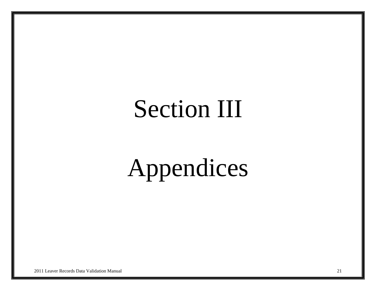## Section III

# Appendices

2011 Leaver Records Data Validation Manual 21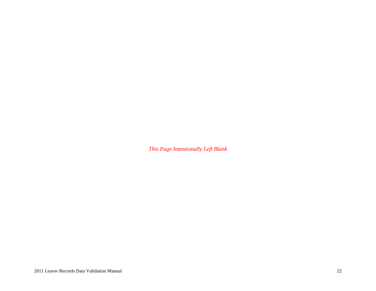*This Page Intentionally Left Blank*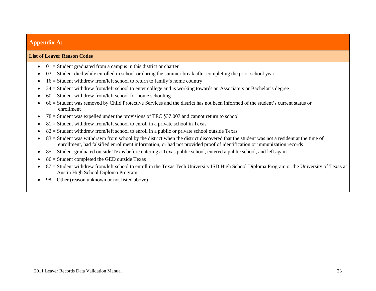#### **Appendix A:**

#### **List of Leaver Reason Codes**

- $\bullet$  01 = Student graduated from a campus in this district or charter
- $\bullet$  03 = Student died while enrolled in school or during the summer break after completing the prior school year
- $16 =$  Student withdrew from/left school to return to family's home country
- 24 = Student withdrew from/left school to enter college and is working towards an Associate's or Bachelor's degree
- $\bullet$  60 = Student withdrew from/left school for home schooling
- 66 = Student was removed by Child Protective Services and the district has not been informed of the student's current status or enrollment
- $78 =$  Student was expelled under the provisions of TEC §37.007 and cannot return to school
- $\bullet$  81 = Student withdrew from/left school to enroll in a private school in Texas
- 82 = Student withdrew from left school to enroll in a public or private school outside Texas
- $\bullet$  83 = Student was withdrawn from school by the district when the district discovered that the student was not a resident at the time of enrollment, had falsified enrollment information, or had not provided proof of identification or immunization records
- 85 = Student graduated outside Texas before entering a Texas public school, entered a public school, and left again
- $\bullet$  86 = Student completed the GED outside Texas
- 87 = Student withdrew from/left school to enroll in the Texas Tech University ISD High School Diploma Program or the University of Texas at Austin High School Diploma Program
- $98 =$  Other (reason unknown or not listed above)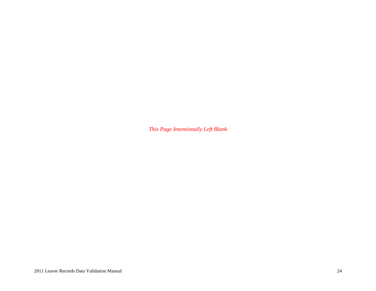*This Page Intentionally Left Blank*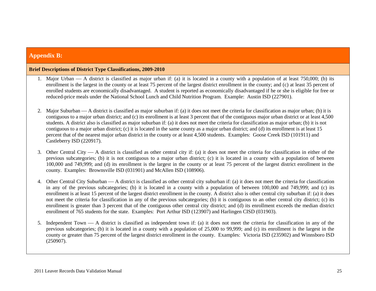#### **Appendix B:**

#### **Brief Descriptions of District Type Classifications, 2009-2010**

- 1. Major Urban A district is classified as major urban if: (a) it is located in a county with a population of at least 750,000; (b) its enrollment is the largest in the county or at least 75 percent of the largest district enrollment in the county; and (c) at least 35 percent of enrolled students are economically disadvantaged. A student is reported as economically disadvantaged if he or she is eligible for free or reduced-price meals under the National School Lunch and Child Nutrition Program. Example: Austin ISD (227901).
- 2. Major Suburban A district is classified as major suburban if: (a) it does not meet the criteria for classification as major urban; (b) it is contiguous to a major urban district; and (c) its enrollment is at least 3 percent that of the contiguous major urban district or at least 4,500 students. A district also is classified as major suburban if: (a) it does not meet the criteria for classification as major urban; (b) it is not contiguous to a major urban district; (c) it is located in the same county as a major urban district; and (d) its enrollment is at least 15 percent that of the nearest major urban district in the county or at least 4,500 students. Examples: Goose Creek ISD (101911) and Castleberry ISD (220917).
- 3. Other Central City  $A$  district is classified as other central city if: (a) it does not meet the criteria for classification in either of the previous subcategories; (b) it is not contiguous to a major urban district; (c) it is located in a county with a population of between 100,000 and 749,999; and (d) its enrollment is the largest in the county or at least 75 percent of the largest district enrollment in the county. Examples: Brownsville ISD (031901) and McAllen ISD (108906).
- 4. Other Central City Suburban A district is classified as other central city suburban if: (a) it does not meet the criteria for classification in any of the previous subcategories; (b) it is located in a county with a population of between 100,000 and 749,999; and (c) its enrollment is at least 15 percent of the largest district enrollment in the county. A district also is other central city suburban if: (a) it does not meet the criteria for classification in any of the previous subcategories; (b) it is contiguous to an other central city district; (c) its enrollment is greater than 3 percent that of the contiguous other central city district; and (d) its enrollment exceeds the median district enrollment of 765 students for the state. Examples: Port Arthur ISD (123907) and Harlingen CISD (031903).
- 5. Independent Town A district is classified as independent town if: (a) it does not meet the criteria for classification in any of the previous subcategories; (b) it is located in a county with a population of 25,000 to 99,999; and (c) its enrollment is the largest in the county or greater than 75 percent of the largest district enrollment in the county. Examples: Victoria ISD (235902) and Winnsboro ISD (250907).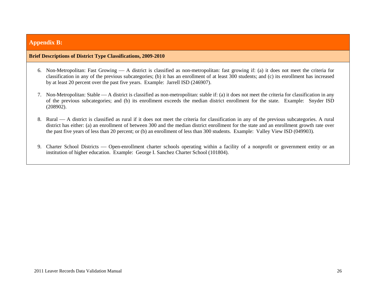#### **Appendix B:**

#### **Brief Descriptions of District Type Classifications, 2009-2010**

- 6. Non-Metropolitan: Fast Growing A district is classified as non-metropolitan: fast growing if: (a) it does not meet the criteria for classification in any of the previous subcategories; (b) it has an enrollment of at least 300 students; and (c) its enrollment has increased by at least 20 percent over the past five years. Example: Jarrell ISD (246907).
- 7. Non-Metropolitan: Stable A district is classified as non-metropolitan: stable if: (a) it does not meet the criteria for classification in any of the previous subcategories; and (b) its enrollment exceeds the median district enrollment for the state. Example: Snyder ISD (208902).
- 8. Rural A district is classified as rural if it does not meet the criteria for classification in any of the previous subcategories. A rural district has either: (a) an enrollment of between 300 and the median district enrollment for the state and an enrollment growth rate over the past five years of less than 20 percent; or (b) an enrollment of less than 300 students. Example: Valley View ISD (049903).
- 9. Charter School Districts Open-enrollment charter schools operating within a facility of a nonprofit or government entity or an institution of higher education. Example: George I. Sanchez Charter School (101804).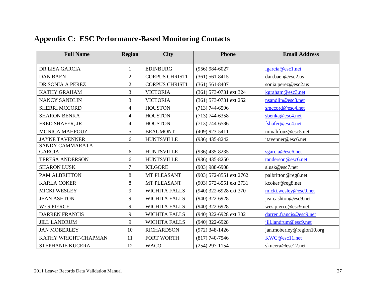| <b>Full Name</b>                  | <b>Region</b>  | <b>City</b>           | <b>Phone</b>            | <b>Email Address</b>      |
|-----------------------------------|----------------|-----------------------|-------------------------|---------------------------|
| DR LISA GARCIA                    | $\mathbf{1}$   | <b>EDINBURG</b>       | $(956)$ 984-6027        | lgarcia@esc1.net          |
| <b>DAN BAEN</b>                   | $\overline{2}$ | <b>CORPUS CHRISTI</b> | $(361)$ 561-8415        | dan.baen@esc2.us          |
| DR SONIA A PEREZ                  | $\overline{2}$ | <b>CORPUS CHRISTI</b> | $(361) 561 - 8407$      | sonia.perez@esc2.us       |
| <b>KATHY GRAHAM</b>               | 3              | <b>VICTORIA</b>       | (361) 573-0731 ext:324  | kgraham@esc3.net          |
| <b>NANCY SANDLIN</b>              | 3              | <b>VICTORIA</b>       | (361) 573-0731 ext:252  | nsandlin@esc3.net         |
| <b>SHERRI MCCORD</b>              | $\overline{4}$ | <b>HOUSTON</b>        | $(713) 744 - 6596$      | smccord@esc4.net          |
| <b>SHARON BENKA</b>               | 4              | <b>HOUSTON</b>        | $(713) 744 - 6358$      | sbenka@esc4.net           |
| FRED SHAFER, JR                   | 4              | <b>HOUSTON</b>        | $(713) 744 - 6586$      | fshafer@esc4.net          |
| <b>MONICA MAHFOUZ</b>             | 5              | <b>BEAUMONT</b>       | $(409)$ 923-5411        | mmahfouz@esc5.net         |
| <b>JAYNE TAVENNER</b>             | 6              | <b>HUNTSVILLE</b>     | $(936)$ 435-8242        | jtavenner@esc6.net        |
| SANDY CAMMARATA-<br><b>GARCIA</b> | 6              | <b>HUNTSVILLE</b>     | $(936)$ 435-8235        | sgarcia@esc6.net          |
| <b>TERESA ANDERSON</b>            | 6              | <b>HUNTSVILLE</b>     | $(936)$ 435-8250        | tanderson@esc6.net        |
| <b>SHARON LUSK</b>                | $\overline{7}$ | <b>KILGORE</b>        | $(903)$ 988-6908        | slusk@esc7.net            |
| <b>PAM ALBRITTON</b>              | 8              | MT PLEASANT           | (903) 572-8551 ext:2762 | palbritton@reg8.net       |
| <b>KARLA COKER</b>                | 8              | MT PLEASANT           | (903) 572-8551 ext:2731 | kcoker@reg8.net           |
| <b>MICKI WESLEY</b>               | 9              | <b>WICHITA FALLS</b>  | (940) 322-6928 ext:370  | micki.wesley@esc9.net     |
| <b>JEAN ASHTON</b>                | 9              | <b>WICHITA FALLS</b>  | $(940)$ 322-6928        | jean.ashton@esc9.net      |
| <b>WES PIERCE</b>                 | 9              | <b>WICHITA FALLS</b>  | $(940)$ 322-6928        | wes.pierce@esc9.net       |
| <b>DARREN FRANCIS</b>             | 9              | <b>WICHITA FALLS</b>  | (940) 322-6928 ext:302  | darren.francis@esc9.net   |
| <b>JILL LANDRUM</b>               | 9              | <b>WICHITA FALLS</b>  | $(940)$ 322-6928        | jill.landrum@esc9.net     |
| <b>JAN MOBERLEY</b>               | 10             | <b>RICHARDSON</b>     | $(972)$ 348-1426        | jan.moberley@region10.org |
| KATHY WRIGHT-CHAPMAN              | 11             | <b>FORT WORTH</b>     | $(817) 740 - 7546$      | KWC@esc11.net             |
| STEPHANIE KUCERA                  | 12             | <b>WACO</b>           | $(254)$ 297-1154        | skucera@esc12.net         |

## **Appendix C: ESC Performance-Based Monitoring Contacts**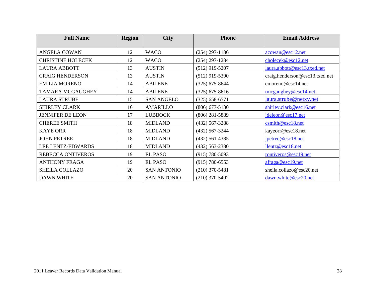| <b>Full Name</b>         | <b>Region</b> | <b>City</b>        | <b>Phone</b>       | <b>Email Address</b>           |
|--------------------------|---------------|--------------------|--------------------|--------------------------------|
| <b>ANGELA COWAN</b>      | 12            | <b>WACO</b>        | $(254)$ 297-1186   | acowan@esc12.net               |
| <b>CHRISTINE HOLECEK</b> | 12            | <b>WACO</b>        | $(254)$ 297-1284   | cholecek@esc12.net             |
| <b>LAURA ABBOTT</b>      | 13            | <b>AUSTIN</b>      | $(512)$ 919-5207   | laura.abbott@esc13.txed.net    |
| <b>CRAIG HENDERSON</b>   | 13            | <b>AUSTIN</b>      | $(512)$ 919-5390   | craig.henderson@esc13.txed.net |
| <b>EMILIA MORENO</b>     | 14            | <b>ABILENE</b>     | $(325) 675 - 8644$ | emoreno@esc14.net              |
| <b>TAMARA MCGAUGHEY</b>  | 14            | <b>ABILENE</b>     | $(325)$ 675-8616   | $t$ mcgaughey@esc14.net        |
| <b>LAURA STRUBE</b>      | 15            | <b>SAN ANGELO</b>  | $(325) 658 - 6571$ | laura.strube@netxv.net         |
| <b>SHIRLEY CLARK</b>     | 16            | <b>AMARILLO</b>    | $(806)$ 677-5130   | shirley.clark@esc16.net        |
| <b>JENNIFER DE LEON</b>  | 17            | <b>LUBBOCK</b>     | $(806)$ 281-5889   | jdeleon@esc17.net              |
| <b>CHEREE SMITH</b>      | 18            | <b>MIDLAND</b>     | (432) 567-3288     | csmith@esc18.net               |
| <b>KAYE ORR</b>          | 18            | <b>MIDLAND</b>     | (432) 567-3244     | kayeorr@esc18.net              |
| <b>JOHN PETREE</b>       | 18            | <b>MIDLAND</b>     | $(432)$ 561-4385   | jpetree@esc18.net              |
| LEE LENTZ-EDWARDS        | 18            | <b>MIDLAND</b>     | $(432)$ 563-2380   | llentz@esc18.net               |
| <b>REBECCA ONTIVEROS</b> | 19            | <b>EL PASO</b>     | $(915) 780 - 5093$ | rontiveros@esc19.net           |
| <b>ANTHONY FRAGA</b>     | 19            | <b>EL PASO</b>     | $(915) 780 - 6553$ | afraga@esc19.net               |
| SHEILA COLLAZO           | 20            | <b>SAN ANTONIO</b> | $(210)$ 370-5481   | sheila.collazo@esc20.net       |
| <b>DAWN WHITE</b>        | 20            | <b>SAN ANTONIO</b> | $(210)$ 370-5402   | dawn.white@esc20.net           |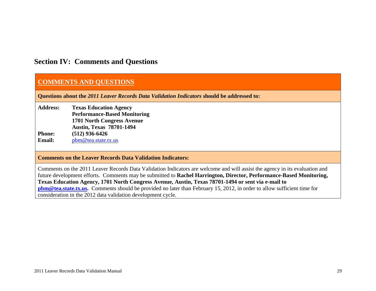## **Section IV: Comments and Questions**

#### **COMMENTS AND QUESTIONS**

**Questions about the** *2011 Leaver Records Data Validation Indicators* **should be addressed to:**

**Address: Texas Education Agency Performance-Based Monitoring 1701 North Congress Avenue Austin, Texas 78701-1494 Phone: (512) 936-6426 Email:** [pbm@tea.state.tx.us](mailto:pbm@tea.state.tx.us)

#### **Comments on the Leaver Records Data Validation Indicators:**

Comments on the 2011 Leaver Records Data Validation Indicators are welcome and will assist the agency in its evaluation and future development efforts. Comments may be submitted to **Rachel Harrington, Director, Performance-Based Monitoring, Texas Education Agency, 1701 North Congress Avenue, Austin, Texas 78701-1494 or sent via e-mail to [pbm@tea.state.tx.us.](mailto:pbm@tea.state.tx.us)** Comments should be provided no later than February 15, 2012, in order to allow sufficient time for consideration in the 2012 data validation development cycle.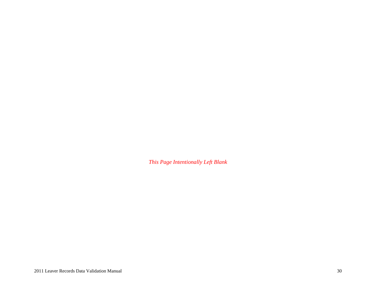*This Page Intentionally Left Blank*